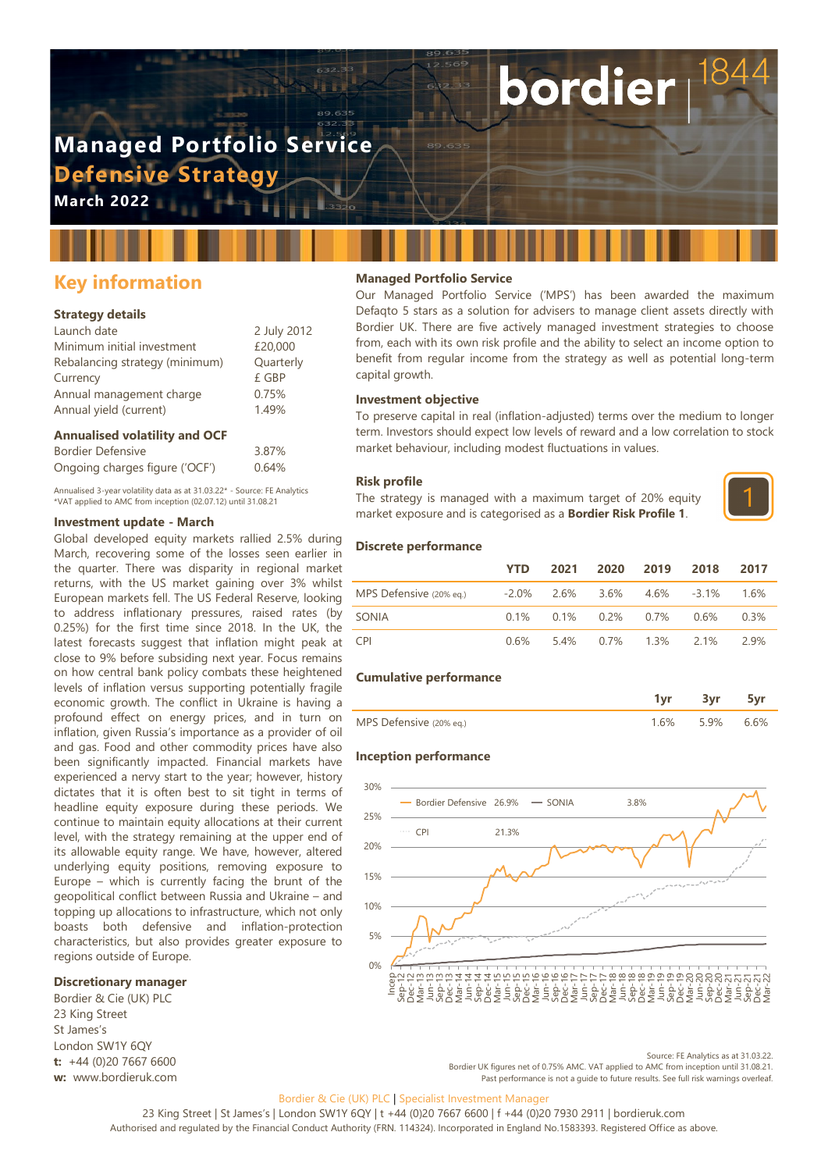# **Managed Portfolio Service Defensive Strategy**

**March 2022**

# **Key information**

#### **Strategy details**

| Launch date                    | 2 July 2012 |
|--------------------------------|-------------|
| Minimum initial investment     | £20,000     |
| Rebalancing strategy (minimum) | Quarterly   |
| Currency                       | £ GBP       |
| Annual management charge       | 0.75%       |
| Annual yield (current)         | 1.49%       |
|                                |             |

#### **Annualised volatility and OCF**

| <b>Bordier Defensive</b>       | 3.87% |
|--------------------------------|-------|
| Ongoing charges figure ('OCF') | 0.64% |

Annualised 3-year volatility data as at 31.03.22\* - Source: FE Analytics \*VAT applied to AMC from inception (02.07.12) until 31.08.21

#### **Investment update - March**

Global developed equity markets rallied 2.5% during March, recovering some of the losses seen earlier in the quarter. There was disparity in regional market returns, with the US market gaining over 3% whilst European markets fell. The US Federal Reserve, looking to address inflationary pressures, raised rates (by 0.25%) for the first time since 2018. In the UK, the latest forecasts suggest that inflation might peak at close to 9% before subsiding next year. Focus remains on how central bank policy combats these heightened levels of inflation versus supporting potentially fragile economic growth. The conflict in Ukraine is having a profound effect on energy prices, and in turn on inflation, given Russia's importance as a provider of oil and gas. Food and other commodity prices have also been significantly impacted. Financial markets have experienced a nervy start to the year; however, history dictates that it is often best to sit tight in terms of headline equity exposure during these periods. We continue to maintain equity allocations at their current level, with the strategy remaining at the upper end of its allowable equity range. We have, however, altered underlying equity positions, removing exposure to Europe – which is currently facing the brunt of the geopolitical conflict between Russia and Ukraine – and topping up allocations to infrastructure, which not only boasts both defensive and inflation-protection characteristics, but also provides greater exposure to regions outside of Europe.

#### **Discretionary manager**

Bordier & Cie (UK) PLC 23 King Street St James's London SW1Y 6QY **t:** +44 (0)20 7667 6600 **w:** www.bordieruk.com

### **Managed Portfolio Service**

Our Managed Portfolio Service ('MPS') has been awarded the maximum Defaqto 5 stars as a solution for advisers to manage client assets directly with Bordier UK. There are five actively managed investment strategies to choose from, each with its own risk profile and the ability to select an income option to benefit from regular income from the strategy as well as potential long-term capital growth.

bordier

#### **Investment objective**

To preserve capital in real (inflation-adjusted) terms over the medium to longer term. Investors should expect low levels of reward and a low correlation to stock market behaviour, including modest fluctuations in values.

#### **Risk profile**

The strategy is managed with a maximum target of 20% equity market exposure and is categorised as a **Bordier Risk Profile 1**.



#### **Discrete performance**

|                                                           | <b>YTD</b> |  | 2021 2020 2019 2018                     | 2017 |
|-----------------------------------------------------------|------------|--|-----------------------------------------|------|
| MPS Defensive (20% eq.) - -2.0% 2.6% 3.6% 4.6% -3.1% 1.6% |            |  |                                         |      |
| SONIA                                                     |            |  | $0.1\%$ $0.1\%$ $0.2\%$ $0.7\%$ $0.6\%$ | 0.3% |
| <b>CPI</b>                                                |            |  | 0.6% 5.4% 0.7% 1.3% 2.1%                | 2.9% |

#### **Cumulative performance**

| MPS Defensive (20% eq.) |  |  |
|-------------------------|--|--|

#### **Inception performance**



Source: FE Analytics as at 31.03.22. Bordier UK figures net of 0.75% AMC. VAT applied to AMC from inception until 31.08.21.

Past performance is not a guide to future results. See full risk warnings overleaf.

#### Bordier & Cie (UK) PLC | Specialist Investment Manager

23 King Street | St James's | London SW1Y 6QY | t +44 (0)20 7667 6600 | f +44 (0)20 7930 2911 | bordieruk.com Authorised and regulated by the Financial Conduct Authority (FRN. 114324). Incorporated in England No.1583393. Registered Office as above.